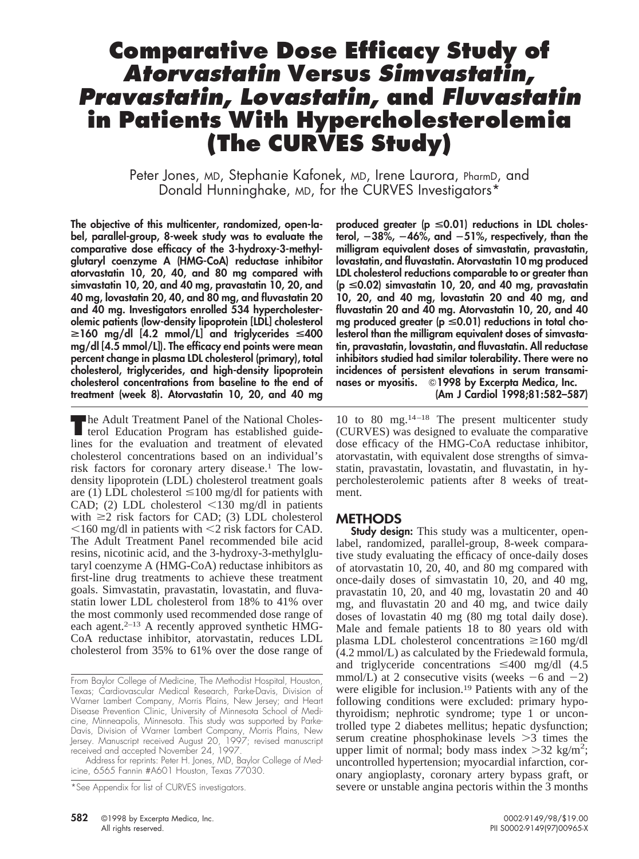# **Comparative Dose Efficacy Study of Atorvastatin Versus Simvastatin, Pravastatin, Lovastatin, and Fluvastatin in Patients With Hypercholesterolemia (The CURVES Study)**

Peter Jones, MD, Stephanie Kafonek, MD, Irene Laurora, PharmD, and Donald Hunninghake, MD, for the CURVES Investigators\*

**The objective of this multicenter, randomized, open-label, parallel-group, 8-week study was to evaluate the comparative dose efficacy of the 3-hydroxy-3-methylglutaryl coenzyme A (HMG-CoA) reductase inhibitor atorvastatin 10, 20, 40, and 80 mg compared with simvastatin 10, 20, and 40 mg, pravastatin 10, 20, and 40 mg, lovastatin 20, 40, and 80 mg, and fluvastatin 20 and 40 mg. Investigators enrolled 534 hypercholesterolemic patients (low-density lipoprotein [LDL] cholesterol**  $\geq$ **160 mg/dl [4.2 mmol/L] and triglycerides**  $\leq$ **400 mg/dl [4.5 mmol/L]). The efficacy end points were mean percent change in plasma LDL cholesterol (primary), total cholesterol, triglycerides, and high-density lipoprotein cholesterol concentrations from baseline to the end of treatment (week 8). Atorvastatin 10, 20, and 40 mg**

**The Adult Treatment Panel of the National Cholesterol Education Program has established guide**lines for the evaluation and treatment of elevated cholesterol concentrations based on an individual's risk factors for coronary artery disease.<sup>1</sup> The lowdensity lipoprotein (LDL) cholesterol treatment goals are (1) LDL cholesterol  $\leq 100$  mg/dl for patients with CAD; (2) LDL cholesterol  $\leq$ 130 mg/dl in patients with  $\geq 2$  risk factors for CAD; (3) LDL cholesterol  $\leq$ 160 mg/dl in patients with  $\leq$ 2 risk factors for CAD. The Adult Treatment Panel recommended bile acid resins, nicotinic acid, and the 3-hydroxy-3-methylglutaryl coenzyme A (HMG-CoA) reductase inhibitors as first-line drug treatments to achieve these treatment goals. Simvastatin, pravastatin, lovastatin, and fluvastatin lower LDL cholesterol from 18% to 41% over the most commonly used recommended dose range of each agent.2–13 A recently approved synthetic HMG-CoA reductase inhibitor, atorvastatin, reduces LDL cholesterol from 35% to 61% over the dose range of

Address for reprints: Peter H. Jones, MD, Baylor College of Medicine, 6565 Fannin #A601 Houston, Texas 77030.

**produced greater (p** <**0.01) reductions in LDL cholesterol,** 2**38%,** 2**46%, and** 2**51%, respectively, than the milligram equivalent doses of simvastatin, pravastatin, lovastatin, and fluvastatin. Atorvastatin 10 mg produced LDL cholesterol reductions comparable to or greater than (p** <**0.02) simvastatin 10, 20, and 40 mg, pravastatin 10, 20, and 40 mg, lovastatin 20 and 40 mg, and fluvastatin 20 and 40 mg. Atorvastatin 10, 20, and 40** mg produced greater (p ≤0.01) reductions in total cho**lesterol than the milligram equivalent doses of simvastatin, pravastatin, lovastatin, and fluvastatin. All reductase inhibitors studied had similar tolerability. There were no incidences of persistent elevations in serum transaminases or myositis.** Q**1998 by Excerpta Medica, Inc. (Am J Cardiol 1998;81:582–587)**

10 to 80 mg.14–18 The present multicenter study (CURVES) was designed to evaluate the comparative dose efficacy of the HMG-CoA reductase inhibitor, atorvastatin, with equivalent dose strengths of simvastatin, pravastatin, lovastatin, and fluvastatin, in hypercholesterolemic patients after 8 weeks of treatment.

### **METHODS**

**Study design:** This study was a multicenter, openlabel, randomized, parallel-group, 8-week comparative study evaluating the efficacy of once-daily doses of atorvastatin 10, 20, 40, and 80 mg compared with once-daily doses of simvastatin 10, 20, and 40 mg, pravastatin 10, 20, and 40 mg, lovastatin 20 and 40 mg, and fluvastatin 20 and 40 mg, and twice daily doses of lovastatin 40 mg (80 mg total daily dose). Male and female patients 18 to 80 years old with plasma LDL cholesterol concentrations  $\geq 160$  mg/dl (4.2 mmol/L) as calculated by the Friedewald formula, and triglyceride concentrations  $\leq 400$  mg/dl (4.5) mmol/L) at 2 consecutive visits (weeks  $-6$  and  $-2$ ) were eligible for inclusion.19 Patients with any of the following conditions were excluded: primary hypothyroidism; nephrotic syndrome; type 1 or uncontrolled type 2 diabetes mellitus; hepatic dysfunction; serum creatine phosphokinase levels  $\geq$ 3 times the upper limit of normal; body mass index  $>32$  kg/m<sup>2</sup>; uncontrolled hypertension; myocardial infarction, coronary angioplasty, coronary artery bypass graft, or severe or unstable angina pectoris within the 3 months

From Baylor College of Medicine, The Methodist Hospital, Houston, Texas; Cardiovascular Medical Research, Parke-Davis, Division of Warner Lambert Company, Morris Plains, New Jersey; and Heart Disease Prevention Clinic, University of Minnesota School of Medicine, Minneapolis, Minnesota. This study was supported by Parke-Davis, Division of Warner Lambert Company, Morris Plains, New Jersey. Manuscript received August 20, 1997; revised manuscript received and accepted November 24, 1997.

<sup>\*</sup>See Appendix for list of CURVES investigators.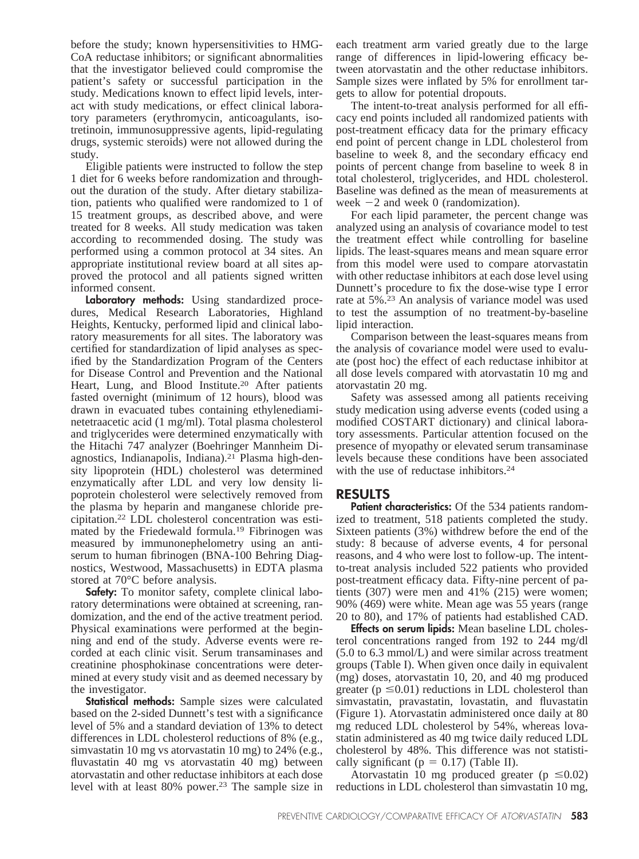before the study; known hypersensitivities to HMG-CoA reductase inhibitors; or significant abnormalities that the investigator believed could compromise the patient's safety or successful participation in the study. Medications known to effect lipid levels, interact with study medications, or effect clinical laboratory parameters (erythromycin, anticoagulants, isotretinoin, immunosuppressive agents, lipid-regulating drugs, systemic steroids) were not allowed during the study.

Eligible patients were instructed to follow the step 1 diet for 6 weeks before randomization and throughout the duration of the study. After dietary stabilization, patients who qualified were randomized to 1 of 15 treatment groups, as described above, and were treated for 8 weeks. All study medication was taken according to recommended dosing. The study was performed using a common protocol at 34 sites. An appropriate institutional review board at all sites approved the protocol and all patients signed written informed consent.

**Laboratory methods:** Using standardized procedures, Medical Research Laboratories, Highland Heights, Kentucky, performed lipid and clinical laboratory measurements for all sites. The laboratory was certified for standardization of lipid analyses as specified by the Standardization Program of the Centers for Disease Control and Prevention and the National Heart, Lung, and Blood Institute.<sup>20</sup> After patients fasted overnight (minimum of 12 hours), blood was drawn in evacuated tubes containing ethylenediaminetetraacetic acid (1 mg/ml). Total plasma cholesterol and triglycerides were determined enzymatically with the Hitachi 747 analyzer (Boehringer Mannheim Diagnostics, Indianapolis, Indiana).21 Plasma high-density lipoprotein (HDL) cholesterol was determined enzymatically after LDL and very low density lipoprotein cholesterol were selectively removed from the plasma by heparin and manganese chloride precipitation.22 LDL cholesterol concentration was estimated by the Friedewald formula.19 Fibrinogen was measured by immunonephelometry using an antiserum to human fibrinogen (BNA-100 Behring Diagnostics, Westwood, Massachusetts) in EDTA plasma stored at 70°C before analysis.

**Safety:** To monitor safety, complete clinical laboratory determinations were obtained at screening, randomization, and the end of the active treatment period. Physical examinations were performed at the beginning and end of the study. Adverse events were recorded at each clinic visit. Serum transaminases and creatinine phosphokinase concentrations were determined at every study visit and as deemed necessary by the investigator.

**Statistical methods:** Sample sizes were calculated based on the 2-sided Dunnett's test with a significance level of 5% and a standard deviation of 13% to detect differences in LDL cholesterol reductions of 8% (e.g., simvastatin 10 mg vs atorvastatin 10 mg) to 24% (e.g., fluvastatin 40 mg vs atorvastatin 40 mg) between atorvastatin and other reductase inhibitors at each dose level with at least 80% power.<sup>23</sup> The sample size in each treatment arm varied greatly due to the large range of differences in lipid-lowering efficacy between atorvastatin and the other reductase inhibitors. Sample sizes were inflated by 5% for enrollment targets to allow for potential dropouts.

The intent-to-treat analysis performed for all efficacy end points included all randomized patients with post-treatment efficacy data for the primary efficacy end point of percent change in LDL cholesterol from baseline to week 8, and the secondary efficacy end points of percent change from baseline to week 8 in total cholesterol, triglycerides, and HDL cholesterol. Baseline was defined as the mean of measurements at week  $-2$  and week 0 (randomization).

For each lipid parameter, the percent change was analyzed using an analysis of covariance model to test the treatment effect while controlling for baseline lipids. The least-squares means and mean square error from this model were used to compare atorvastatin with other reductase inhibitors at each dose level using Dunnett's procedure to fix the dose-wise type I error rate at 5%.23 An analysis of variance model was used to test the assumption of no treatment-by-baseline lipid interaction.

Comparison between the least-squares means from the analysis of covariance model were used to evaluate (post hoc) the effect of each reductase inhibitor at all dose levels compared with atorvastatin 10 mg and atorvastatin 20 mg.

Safety was assessed among all patients receiving study medication using adverse events (coded using a modified COSTART dictionary) and clinical laboratory assessments. Particular attention focused on the presence of myopathy or elevated serum transaminase levels because these conditions have been associated with the use of reductase inhibitors.<sup>24</sup>

## **RESULTS**

Patient characteristics: Of the 534 patients randomized to treatment, 518 patients completed the study. Sixteen patients (3%) withdrew before the end of the study: 8 because of adverse events, 4 for personal reasons, and 4 who were lost to follow-up. The intentto-treat analysis included 522 patients who provided post-treatment efficacy data. Fifty-nine percent of patients (307) were men and 41% (215) were women; 90% (469) were white. Mean age was 55 years (range 20 to 80), and 17% of patients had established CAD.

**Effects on serum lipids:** Mean baseline LDL cholesterol concentrations ranged from 192 to 244 mg/dl (5.0 to 6.3 mmol/L) and were similar across treatment groups (Table I). When given once daily in equivalent (mg) doses, atorvastatin 10, 20, and 40 mg produced greater ( $p \le 0.01$ ) reductions in LDL cholesterol than simvastatin, pravastatin, lovastatin, and fluvastatin (Figure 1). Atorvastatin administered once daily at 80 mg reduced LDL cholesterol by 54%, whereas lovastatin administered as 40 mg twice daily reduced LDL cholesterol by 48%. This difference was not statistically significant ( $p = 0.17$ ) (Table II).

Atorvastatin 10 mg produced greater ( $p \le 0.02$ ) reductions in LDL cholesterol than simvastatin 10 mg,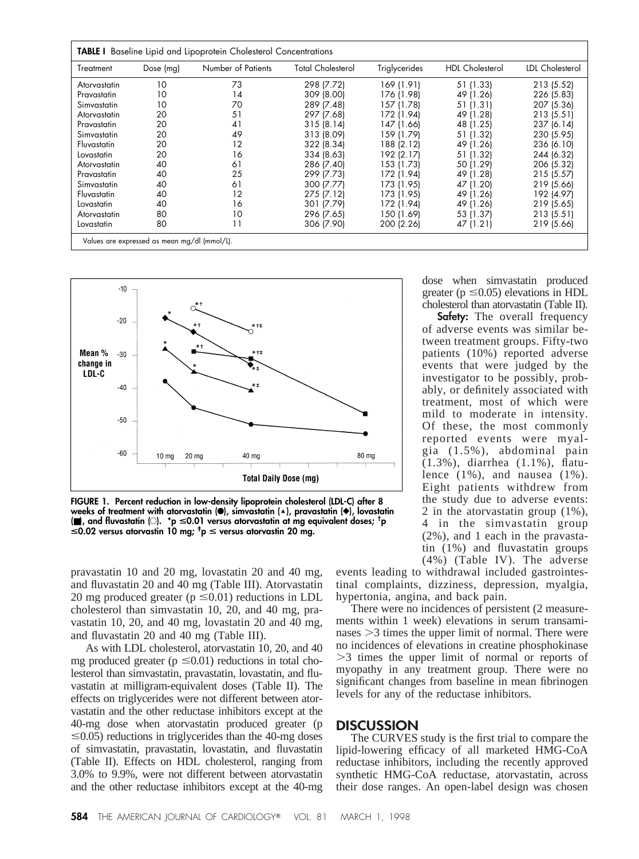| Treatment    | Dose $(mg)$ | Number of Patients | <b>Total Cholesterol</b> | Triglycerides | <b>HDL</b> Cholesterol | LDL Cholesterol |
|--------------|-------------|--------------------|--------------------------|---------------|------------------------|-----------------|
| Atorvastatin | 10          | 73                 | 298 (7.72)               | 169 (1.91)    | 51 (1.33)              | 213 (5.52)      |
| Pravastatin  | 10          | 14                 | 309 (8.00)               | 176 (1.98)    | 49 (1.26)              | 226 (5.83)      |
| Simvastatin  | 10          | 70                 | 289 (7.48)               | 157 (1.78)    | 51 (1.31)              | 207 (5.36)      |
| Atorvastatin | 20          | 51                 | 297 (7.68)               | 172 (1.94)    | 49 (1.28)              | 213 (5.51)      |
| Pravastatin  | 20          | 41                 | 315(8.14)                | 147 (1.66)    | 48 (1.25)              | 237 (6.14)      |
| Simvastatin  | 20          | 49                 | 313 (8.09)               | 159 (1.79)    | 51 (1.32)              | 230 (5.95)      |
| Fluvastatin  | 20          | 12                 | 322 (8.34)               | 188 (2.12)    | 49 (1.26)              | 236 (6.10)      |
| Lovastatin   | 20          | 16                 | 334 (8.63)               | 192 (2.17)    | 51 (1.32)              | 244 (6.32)      |
| Atorvastatin | 40          | 61                 | 286 (7.40)               | 153 (1.73)    | 50 (1.29)              | 206 (5.32)      |
| Pravastatin  | 40          | 25                 | 299 (7.73)               | 172 (1.94)    | 49 (1.28)              | 215 (5.57)      |
| Simvastatin  | 40          | 61                 | 300 (7.77)               | 173 (1.95)    | 47 (1.20)              | 219 (5.66)      |
| Fluvastatin  | 40          | 12                 | 275 (7.12)               | 173 (1.95)    | 49 (1.26)              | 192 (4.97)      |
| Lovastatin   | 40          | 16                 | 301 (7.79)               | 172 (1.94)    | 49 (1.26)              | 219 (5.65)      |
| Atorvastatin | 80          | 10                 | 296 (7.65)               | 150 (1.69)    | 53 (1.37)              | 213(5.51)       |
| Lovastatin   | 80          | 11                 | 306 (7.90)               | 200 (2.26)    | 47 (1.21)              | 219 (5.66)      |



**FIGURE 1. Percent reduction in low-density lipoprotein cholesterol (LDL-C) after 8 weeks of treatment with atorvastatin (**F**), simvastatin (**'**), pravastatin (**}**), lovastatin (**■**), and fluvastatin (**E**). \*p** <**0.01 versus atorvastatin at mg equivalent doses; † p** <**0.02 versus atorvastin 10 mg; ‡ p** < **versus atorvastin 20 mg.**

pravastatin 10 and 20 mg, lovastatin 20 and 40 mg, and fluvastatin 20 and 40 mg (Table III). Atorvastatin 20 mg produced greater ( $p \le 0.01$ ) reductions in LDL cholesterol than simvastatin 10, 20, and 40 mg, pravastatin 10, 20, and 40 mg, lovastatin 20 and 40 mg, and fluvastatin 20 and 40 mg (Table III).

As with LDL cholesterol, atorvastatin 10, 20, and 40 mg produced greater ( $p \le 0.01$ ) reductions in total cholesterol than simvastatin, pravastatin, lovastatin, and fluvastatin at milligram-equivalent doses (Table II). The effects on triglycerides were not different between atorvastatin and the other reductase inhibitors except at the 40-mg dose when atorvastatin produced greater (p  $\leq$ 0.05) reductions in triglycerides than the 40-mg doses of simvastatin, pravastatin, lovastatin, and fluvastatin (Table II). Effects on HDL cholesterol, ranging from 3.0% to 9.9%, were not different between atorvastatin and the other reductase inhibitors except at the 40-mg greater ( $p \le 0.05$ ) elevations in HDL cholesterol than atorvastatin (Table II). **Safety:** The overall frequency

dose when simvastatin produced

of adverse events was similar between treatment groups. Fifty-two patients (10%) reported adverse events that were judged by the investigator to be possibly, probably, or definitely associated with treatment, most of which were mild to moderate in intensity. Of these, the most commonly reported events were myalgia (1.5%), abdominal pain (1.3%), diarrhea (1.1%), flatulence (1%), and nausea (1%). Eight patients withdrew from the study due to adverse events: 2 in the atorvastatin group (1%), 4 in the simvastatin group (2%), and 1 each in the pravastatin (1%) and fluvastatin groups (4%) (Table IV). The adverse

events leading to withdrawal included gastrointestinal complaints, dizziness, depression, myalgia, hypertonia, angina, and back pain.

There were no incidences of persistent (2 measurements within 1 week) elevations in serum transaminases  $>3$  times the upper limit of normal. There were no incidences of elevations in creatine phosphokinase .3 times the upper limit of normal or reports of myopathy in any treatment group. There were no significant changes from baseline in mean fibrinogen levels for any of the reductase inhibitors.

### **DISCUSSION**

The CURVES study is the first trial to compare the lipid-lowering efficacy of all marketed HMG-CoA reductase inhibitors, including the recently approved synthetic HMG-CoA reductase, atorvastatin, across their dose ranges. An open-label design was chosen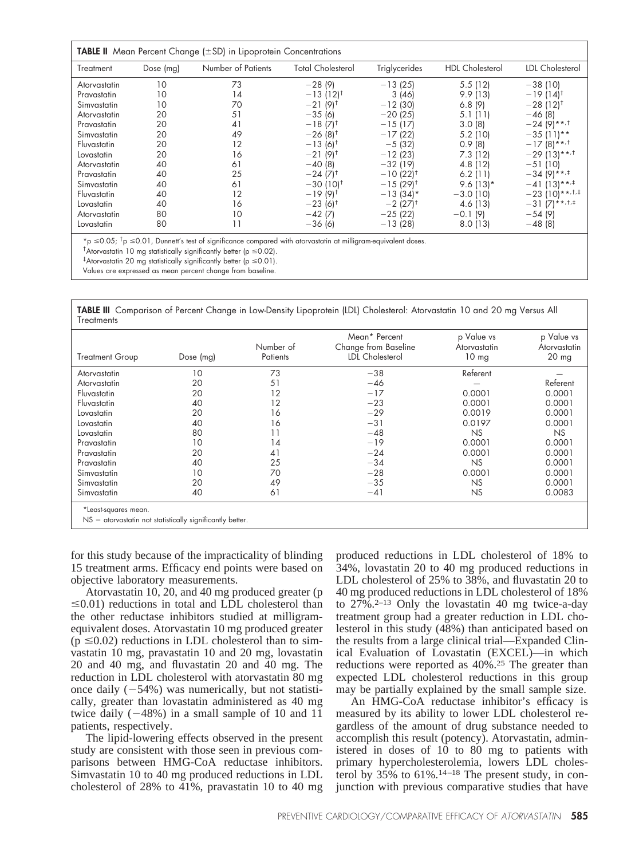| Treatment    | Dose $(mg)$ | Number of Patients | <b>Total Cholesterol</b> | Triglycerides       | <b>HDL</b> Cholesterol | LDL Cholesterol                   |
|--------------|-------------|--------------------|--------------------------|---------------------|------------------------|-----------------------------------|
| Atorvastatin | 10          | 73                 | $-28(9)$                 | $-13(25)$           | 5.5(12)                | $-38(10)$                         |
| Pravastatin  | 10          | 14                 | $-13(12)^{t}$            | 3(46)               | 9.9(13)                | $-19(14)^{t}$                     |
| Simvastatin  | 10          | 70                 | $-21(9)^{t}$             | $-12(30)$           | 6.8(9)                 | $-28(12)^{t}$                     |
| Atorvastatin | 20          | 51                 | $-35(6)$                 | $-20(25)$           | 5.1(11)                | $-46(8)$                          |
| Pravastatin  | 20          | 41                 | $-18(7)^{t}$             | $-15(17)$           | 3.0(8)                 | $-24(9)$ ** $\cdot$ <sup>+</sup>  |
| Simvastatin  | 20          | 49                 | $-26(8)^{t}$             | $-17(22)$           | 5.2 (10)               | $-35(11)**$                       |
| Fluvastatin  | 20          | 12                 | $-13(6)^{\dagger}$       | $-5(32)$            | 0.9(8)                 | $-17(8)$ ** <sup>1</sup>          |
| Lovastatin   | 20          | 16                 | $-21(9)^{t}$             | $-12(23)$           | 7.3(12)                | $-29$ (13)** $\cdot$ <sup>+</sup> |
| Atorvastatin | 40          | 61                 | $-40(8)$                 | $-32(19)$           | 4.8 (12)               | $-51(10)$                         |
| Pravastatin  | 40          | 25                 | $-24(7)^{t}$             | $-10(22)^{t}$       | 6.2(11)                | $-34(9)$ ** $\cdot$ <sup>‡</sup>  |
| Simvastatin  | 40          | 61                 | $-30(10)^{t}$            | $-15(29)^{\dagger}$ | $9.6(13)*$             | $-41(13)**+15$                    |
| Fluvastatin  | 40          | 12                 | $-19(9)^{t}$             | $-13(34)$ *         | $-3.0(10)$             | $-23(10)**77*$                    |
| Lovastatin   | 40          | 16                 | $-23(6)^{\dagger}$       | $-2(27)^{+}$        | 4.6 (13)               | $-31(7)$ ** $77$                  |
| Atorvastatin | 80          | 10                 | $-42(7)$                 | $-25(22)$           | $-0.1(9)$              | $-54(9)$                          |
| Lovastatin   | 80          | 11                 | $-36(6)$                 | $-13(28)$           | 8.0(13)                | $-48(8)$                          |

<sup>†</sup> Atorvastatin 10 mg statistically significantly better (p  $\leq$  0.02).

 $^\ddag$ Atorvastatin 20 mg statistically significantly better (p  $\leq$  0.01).

Values are expressed as mean percent change from baseline.

**TABLE III** Comparison of Percent Change in Low-Density Lipoprotein (LDL) Cholesterol: Atorvastatin 10 and 20 mg Versus All **Treatments** 

| <b>Treatment Group</b> | Dose (mg)                                                   | Number of<br>Patients | Mean* Percent<br>Change from Baseline<br><b>LDL</b> Cholesterol | p Value vs<br>Atorvastatin<br>10 <sub>mg</sub> | p Value vs<br>Atorvastatin<br>20 mg |
|------------------------|-------------------------------------------------------------|-----------------------|-----------------------------------------------------------------|------------------------------------------------|-------------------------------------|
| Atorvastatin           | 10                                                          | 73                    | $-38$                                                           | Referent                                       |                                     |
| Atorvastatin           | 20                                                          | 51                    | $-46$                                                           |                                                | Referent                            |
| Fluvastatin            | 20                                                          | 12                    | $-17$                                                           | 0.0001                                         | 0.0001                              |
| Fluvastatin            | 40                                                          | 12                    | $-23$                                                           | 0.0001                                         | 0.0001                              |
| Lovastatin             | 20                                                          | 16                    | $-29$                                                           | 0.0019                                         | 0.0001                              |
| Lovastatin             | 40                                                          | 16                    | $-31$                                                           | 0.0197                                         | 0.0001                              |
| Lovastatin             | 80                                                          |                       | $-48$                                                           | <b>NS</b>                                      | <b>NS</b>                           |
| Pravastatin            | 10                                                          | 14                    | $-19$                                                           | 0.0001                                         | 0.0001                              |
| Pravastatin            | 20                                                          | 41                    | $-24$                                                           | 0.0001                                         | 0.0001                              |
| Pravastatin            | 40                                                          | 25                    | $-34$                                                           | <b>NS</b>                                      | 0.0001                              |
| Simvastatin            | 10                                                          | 70                    | $-28$                                                           | 0.0001                                         | 0.0001                              |
| Simvastatin            | 20                                                          | 49                    | $-35$                                                           | <b>NS</b>                                      | 0.0001                              |
| Simvastatin            | 40                                                          | 61                    | $-41$                                                           | <b>NS</b>                                      | 0.0083                              |
| *Least-squares mean.   | $NS =$ atorvastatin not statistically significantly better. |                       |                                                                 |                                                |                                     |

for this study because of the impracticality of blinding 15 treatment arms. Efficacy end points were based on objective laboratory measurements.

Atorvastatin 10, 20, and 40 mg produced greater (p  $\leq$ 0.01) reductions in total and LDL cholesterol than the other reductase inhibitors studied at milligramequivalent doses. Atorvastatin 10 mg produced greater  $(p \le 0.02)$  reductions in LDL cholesterol than to simvastatin 10 mg, pravastatin 10 and 20 mg, lovastatin 20 and 40 mg, and fluvastatin 20 and 40 mg. The reduction in LDL cholesterol with atorvastatin 80 mg once daily  $(-54%)$  was numerically, but not statistically, greater than lovastatin administered as 40 mg twice daily  $(-48%)$  in a small sample of 10 and 11 patients, respectively.

The lipid-lowering effects observed in the present study are consistent with those seen in previous comparisons between HMG-CoA reductase inhibitors. Simvastatin 10 to 40 mg produced reductions in LDL cholesterol of 28% to 41%, pravastatin 10 to 40 mg produced reductions in LDL cholesterol of 18% to 34%, lovastatin 20 to 40 mg produced reductions in LDL cholesterol of 25% to 38%, and fluvastatin 20 to 40 mg produced reductions in LDL cholesterol of 18% to  $27\%$ .<sup>2–13</sup> Only the lovastatin 40 mg twice-a-day treatment group had a greater reduction in LDL cholesterol in this study (48%) than anticipated based on the results from a large clinical trial—Expanded Clinical Evaluation of Lovastatin (EXCEL)—in which reductions were reported as 40%.25 The greater than expected LDL cholesterol reductions in this group may be partially explained by the small sample size.

An HMG-CoA reductase inhibitor's efficacy is measured by its ability to lower LDL cholesterol regardless of the amount of drug substance needed to accomplish this result (potency). Atorvastatin, administered in doses of 10 to 80 mg to patients with primary hypercholesterolemia, lowers LDL cholesterol by  $35\%$  to  $61\%$ .<sup>14-18</sup> The present study, in conjunction with previous comparative studies that have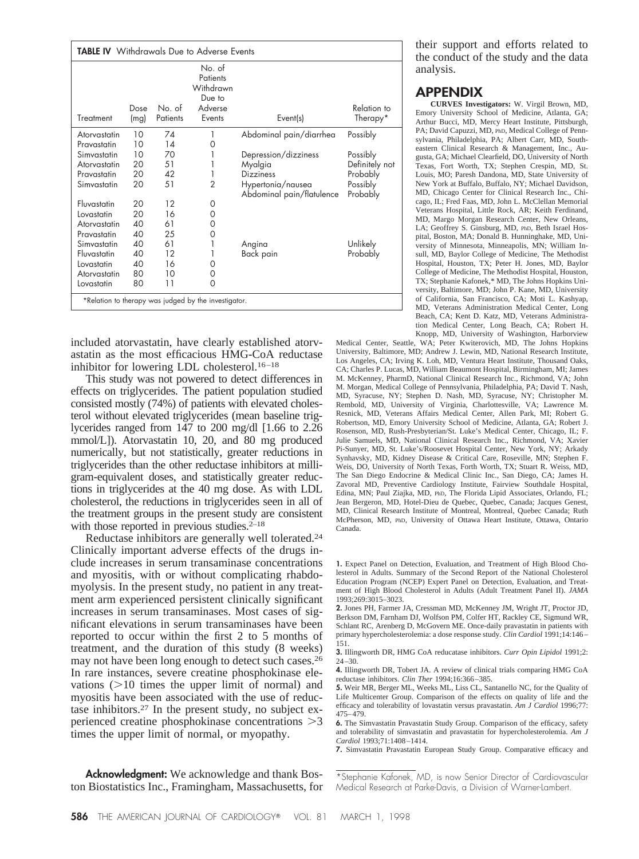| <b>TABLE IV</b> Withdrawals Due to Adverse Events    |              |                    |                                                                |                                                |                         |
|------------------------------------------------------|--------------|--------------------|----------------------------------------------------------------|------------------------------------------------|-------------------------|
| Treatment                                            | Dose<br>(mg) | No. of<br>Patients | No. of<br>Patients<br>Withdrawn<br>Due to<br>Adverse<br>Events | Event(s)                                       | Relation to<br>Therapy* |
| Atorvastatin                                         | 10           | 74                 |                                                                | Abdominal pain/diarrhea                        | Possibly                |
| Pravastatin                                          | 10           | 14                 | 0                                                              |                                                |                         |
| Simvastatin                                          | 10           | 70                 |                                                                | Depression/dizziness                           | Possibly                |
| Atorvastatin                                         | 20           | 51                 |                                                                | Myalgia                                        | Definitely not          |
| Pravastatin                                          | 20           | 42                 | 1                                                              | <b>Dizziness</b>                               | Probably                |
| Simvastatin                                          | 20           | 51                 | $\overline{2}$                                                 | Hypertonia/nausea<br>Abdominal pain/flatulence | Possibly<br>Probably    |
| Fluvastatin                                          | 20           | 12                 | 0                                                              |                                                |                         |
| Lovastatin                                           | 20           | 16                 | 0                                                              |                                                |                         |
| Atorvastatin                                         | 40           | 61                 | 0                                                              |                                                |                         |
| Pravastatin                                          | 40           | 25                 | 0                                                              |                                                |                         |
| Simvastatin                                          | 40           | 61                 |                                                                | Angina                                         | Unlikely                |
| Fluvastatin                                          | 40           | 12                 |                                                                | Back pain                                      | Probably                |
| Lovastatin                                           | 40           | 16                 | 0                                                              |                                                |                         |
| Atorvastatin                                         | 80           | 10                 | 0                                                              |                                                |                         |
| Lovastatin                                           | 80           | 11                 | 0                                                              |                                                |                         |
| *Relation to therapy was judged by the investigator. |              |                    |                                                                |                                                |                         |

included atorvastatin, have clearly established atorvastatin as the most efficacious HMG-CoA reductase inhibitor for lowering LDL cholesterol.16–18

This study was not powered to detect differences in effects on triglycerides. The patient population studied consisted mostly (74%) of patients with elevated cholesterol without elevated triglycerides (mean baseline triglycerides ranged from 147 to 200 mg/dl [1.66 to 2.26 mmol/L]). Atorvastatin 10, 20, and 80 mg produced numerically, but not statistically, greater reductions in triglycerides than the other reductase inhibitors at milligram-equivalent doses, and statistically greater reductions in triglycerides at the 40 mg dose. As with LDL cholesterol, the reductions in triglycerides seen in all of the treatment groups in the present study are consistent with those reported in previous studies. $2^{-18}$ 

Reductase inhibitors are generally well tolerated.24 Clinically important adverse effects of the drugs include increases in serum transaminase concentrations and myositis, with or without complicating rhabdomyolysis. In the present study, no patient in any treatment arm experienced persistent clinically significant increases in serum transaminases. Most cases of significant elevations in serum transaminases have been reported to occur within the first 2 to 5 months of treatment, and the duration of this study (8 weeks) may not have been long enough to detect such cases.<sup>26</sup> In rare instances, severe creatine phosphokinase elevations  $(>=10$  times the upper limit of normal) and myositis have been associated with the use of reductase inhibitors.27 In the present study, no subject experienced creatine phosphokinase concentrations  $>3$ times the upper limit of normal, or myopathy.

**Acknowledgment:** We acknowledge and thank Boston Biostatistics Inc., Framingham, Massachusetts, for their support and efforts related to the conduct of the study and the data analysis.

## **APPENDIX**

**CURVES Investigators:** W. Virgil Brown, MD, Emory University School of Medicine, Atlanta, GA; Arthur Bucci, MD, Mercy Heart Institute, Pittsburgh, PA; David Capuzzi, MD, PhD, Medical College of Pennsylvania, Philadelphia, PA; Albert Carr, MD, Southeastern Clinical Research & Management, Inc., Augusta, GA; Michael Clearfield, DO, University of North Texas, Fort Worth, TX; Stephen Crespin, MD, St. Louis, MO; Paresh Dandona, MD, State University of New York at Buffalo, Buffalo, NY; Michael Davidson, MD, Chicago Center for Clinical Research Inc., Chicago, IL; Fred Faas, MD, John L. McClellan Memorial Veterans Hospital, Little Rock, AR; Keith Ferdinand, MD, Margo Morgan Research Center, New Orleans, LA; Geoffrey S. Ginsburg, MD, PhD, Beth Israel Hospital, Boston, MA; Donald B. Hunninghake, MD, University of Minnesota, Minneapolis, MN; William Insull, MD, Baylor College of Medicine, The Methodist Hospital, Houston, TX; Peter H. Jones, MD, Baylor College of Medicine, The Methodist Hospital, Houston, TX; Stephanie Kafonek,\* MD, The Johns Hopkins University, Baltimore, MD; John P. Kane, MD, University of California, San Francisco, CA; Moti L. Kashyap, MD, Veterans Administration Medical Center, Long Beach, CA; Kent D. Katz, MD, Veterans Administration Medical Center, Long Beach, CA; Robert H. Knopp, MD, University of Washington, Harborview

Medical Center, Seattle, WA; Peter Kwiterovich, MD, The Johns Hopkins University, Baltimore, MD; Andrew J. Lewin, MD, National Research Institute, Los Angeles, CA; Irving K. Loh, MD, Ventura Heart Institute, Thousand Oaks, CA; Charles P. Lucas, MD, William Beaumont Hospital, Birmingham, MI; James M. McKenney, PharmD, National Clinical Research Inc., Richmond, VA; John M. Morgan, Medical College of Pennsylvania, Philadelphia, PA; David T. Nash, MD, Syracuse, NY; Stephen D. Nash, MD, Syracuse, NY; Christopher M. Rembold, MD, University of Virginia, Charlottesville, VA; Lawrence M. Resnick, MD, Veterans Affairs Medical Center, Allen Park, MI; Robert G. Robertson, MD, Emory University School of Medicine, Atlanta, GA; Robert J. Rosenson, MD, Rush-Presbyterian/St. Luke's Medical Center, Chicago, IL; F. Julie Samuels, MD, National Clinical Research Inc., Richmond, VA; Xavier Pi-Sunyer, MD, St. Luke's/Roosevet Hospital Center, New York, NY; Arkady Synhavsky, MD, Kidney Disease & Critical Care, Roseville, MN; Stephen F. Weis, DO, University of North Texas, Forth Worth, TX; Stuart R. Weiss, MD, The San Diego Endocrine & Medical Clinic Inc., San Diego, CA; James H. Zavoral MD, Preventive Cardiology Institute, Fairview Southdale Hospital, Edina, MN; Paul Ziajka, MD, PhD, The Florida Lipid Associates, Orlando, FL; Jean Bergeron, MD, Hotel-Dieu de Quebec, Quebec, Canada; Jacques Genest, MD, Clinical Research Institute of Montreal, Montreal, Quebec Canada; Ruth McPherson, MD, PhD, University of Ottawa Heart Institute, Ottawa, Ontario Canada.

**1.** Expect Panel on Detection, Evaluation, and Treatment of High Blood Cholesterol in Adults. Summary of the Second Report of the National Cholesterol Education Program (NCEP) Expert Panel on Detection, Evaluation, and Treatment of High Blood Cholesterol in Adults (Adult Treatment Panel II). *JAMA* 1993;269:3015–3023.

**2.** Jones PH, Farmer JA, Cressman MD, McKenney JM, Wright JT, Proctor JD, Berkson DM, Farnham DJ, Wolfson PM, Colfer HT, Rackley CE, Sigmund WR, Schlant RC, Arenberg D, McGovern ME. Once-daily pravastatin in patients with primary hypercholesterolemia: a dose response study. *Clin Cardiol* 1991;14:146– 151.

**3.** Illingworth DR, HMG CoA reducatase inhibitors. *Curr Opin Lipidol* 1991;2: 24–30.

**4.** Illingworth DR, Tobert JA. A review of clinical trials comparing HMG CoA reductase inhibitors. *Clin Ther* 1994;16:366–385.

**5.** Weir MR, Berger ML, Weeks ML, Liss CL, Santanello NC, for the Quality of Life Multicenter Group. Comparison of the effects on quality of life and the efficacy and tolerability of lovastatin versus pravastatin. *Am J Cardiol* 1996;77: 475–479.

**6.** The Simvastatin Pravastatin Study Group. Comparison of the efficacy, safety and tolerability of simvastatin and pravastatin for hypercholesterolemia. *Am J Cardiol* 1993;71:1408–1414.

**7.** Simvastatin Pravastatin European Study Group. Comparative efficacy and

<sup>\*</sup>Stephanie Kafonek, MD, is now Senior Director of Cardiovascular Medical Research at Parke-Davis, a Division of Warner-Lambert.